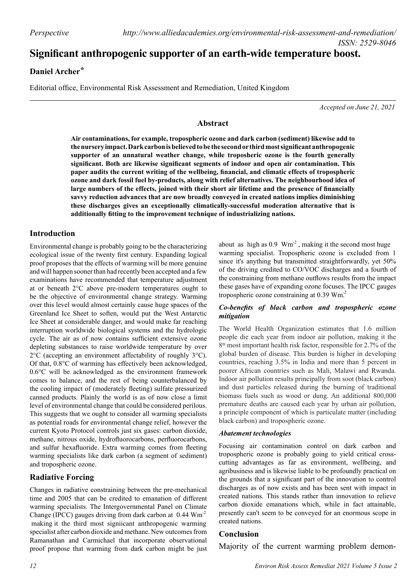# **Significant anthropogenic supporter of an earth-wide temperature boost.**

## **Daniel Archer \***

Editorial office, Environmental Risk Assessment and Remediation, United Kingdom

*Accepted on June 21, 2021*

## **Abstract**

**Air contaminations, for example, tropospheric ozone and dark carbon (sediment) likewise add to the nursery impact. Dark carbon is believed to be the second or third most significant anthropogenic supporter of an unnatural weather change, while troposheric ozone is the fourth generally significant. Both are likewise significant segments of indoor and open air contamination. This paper audits the current writing of the wellbeing, financial, and climatic effects of tropospheric ozone and dark fossil fuel by-products, along with relief alternatives. The neighbourhood idea of large numbers of the effects, joined with their short air lifetime and the presence of financially savvy reduction advances that are now broadly conveyed in created nations implies diminishing these discharges gives an exceptionally climatically-successful moderation alternative that is additionally fitting to the improvement technique of industrializing nations.**

## **Introduction**

Environmental change is probably going to be the characterizing ecological issue of the twenty first century. Expanding logical proof proposes that the effects of warming will be more genuine and will happen sooner than had recently been accepted and a few examinations have recommended that temperature adjustment at or beneath 2°C above pre-modern temperatures ought to be the objective of environmental change strategy. Warming over this level would almost certainly cause huge spaces of the Greenland Ice Sheet to soften, would put the West Antarctic Ice Sheet at considerable danger, and would make far reaching interruption worldwide biological systems and the hydrologic cycle. The air as of now contains sufficient extensive ozone depleting substances to raise worldwide temperature by over 2°C (accepting an environment affectability of roughly 3°C). Of that, 0.8°C of warming has effectively been acknowledged, 0.6°C will be acknowledged as the environment framework comes to balance, and the rest of being counterbalanced by the cooling impact of (moderately fleeting) sulfate pressurized canned products. Plainly the world is as of now close a limit level of environmental change that could be considered perilous. This suggests that we ought to consider all warming specialists as potential roads for environmental change relief, however the current Kyoto Protocol controls just six gases: carbon dioxide, methane, nitrous oxide, hydrofluorocarbons, perfluorocarbons, and sulfur hexafluoride. Extra warming comes from fleeting warming specialists like dark carbon (a segment of sediment) and tropospheric ozone.

## **Radiative Forcing**

Changes in radiative constraining between the pre-mechanical time and 2005 that can be credited to emanation of different warming specialists. The Intergovernmental Panel on Climate Change (IPCC) gauges driving from dark carbon at  $0.44 \text{ Wm}^2$  making it the third most signiicant anthropogenic warming specialist after carbon dioxide and methane. New outcomes from Ramanathan and Carmichael that incorporate observational proof propose that warming from dark carbon might be just warming specialist. Tropospheric ozone is excluded from 1 since it's anything but transmitted straightforwardly, yet 50% of the driving credited to CO/VOC discharges and a fourth of the constraining from methane outflows results from the impact these gases have of expanding ozone focuses. The IPCC gauges tropospheric ozone constraining at 0.39 Wm.<sup>2</sup> about as high as  $0.9 \text{ Wm}^2$ , making it the second most huge

#### *Co-benefits of black carbon and tropospheric ozone mitigation*

The World Health Organization estimates that 1.6 million people die each year from indoor air pollution, making it the 8th most important health risk factor, responsible for 2.7% of the global burden of disease. This burden is higher in developing countries, reaching 3.5% in India and more than 5 percent in poorer African countries such as Mali, Malawi and Rwanda. Indoor air pollution results principally from soot (black carbon) and dust particles released during the burning of traditional biomass fuels such as wood or dung. An additional 800,000 premature deaths are caused each year by urban air pollution, a principle component of which is particulate matter (including black carbon) and tropospheric ozone.

#### *Abatement technologies*

Focusing air contamination control on dark carbon and tropospheric ozone is probably going to yield critical crosscutting advantages as far as environment, wellbeing, and agribusiness and is likewise liable to be profoundly practical on the grounds that a significant part of the innovation to control discharges as of now exists and has been sent with impact in created nations. This stands rather than innovation to relieve carbon dioxide emanations which, while in fact attainable, presently can't seem to be conveyed for an enormous scope in created nations.

## **Conclusion**

Majority of the current warming problem demon-